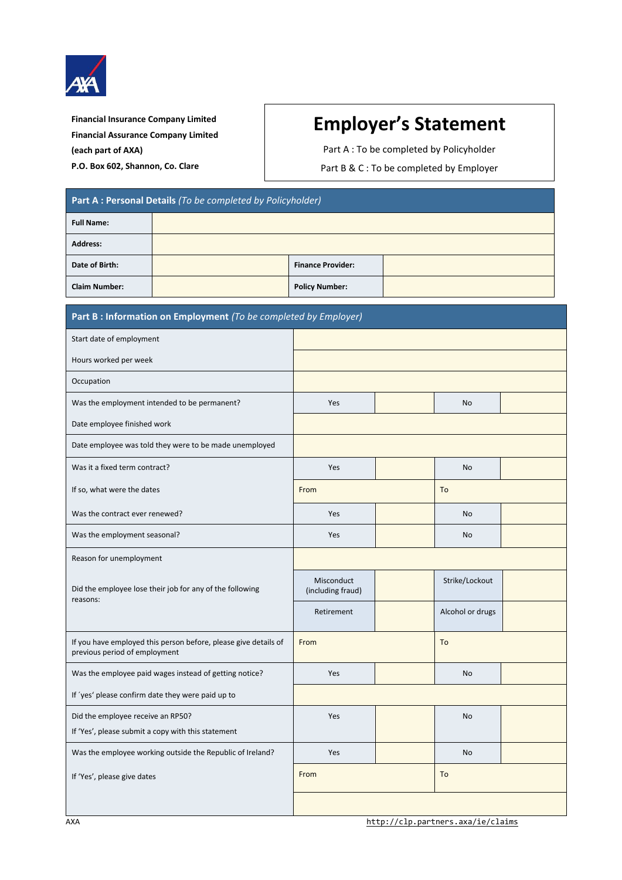

**Financial Insurance Company Limited Financial Assurance Company Limited (each part of AXA) P.O. Box 602, Shannon, Co. Clare**

## **Employer's Statement**

Part A : To be completed by Policyholder

Part B & C : To be completed by Employer

| Part A : Personal Details (To be completed by Policyholder) |  |                          |  |  |  |  |
|-------------------------------------------------------------|--|--------------------------|--|--|--|--|
| <b>Full Name:</b>                                           |  |                          |  |  |  |  |
| <b>Address:</b>                                             |  |                          |  |  |  |  |
| Date of Birth:                                              |  | <b>Finance Provider:</b> |  |  |  |  |
| <b>Claim Number:</b>                                        |  | <b>Policy Number:</b>    |  |  |  |  |

| Part B : Information on Employment (To be completed by Employer)                                 |                                 |  |                  |  |  |
|--------------------------------------------------------------------------------------------------|---------------------------------|--|------------------|--|--|
| Start date of employment                                                                         |                                 |  |                  |  |  |
| Hours worked per week                                                                            |                                 |  |                  |  |  |
| Occupation                                                                                       |                                 |  |                  |  |  |
| Was the employment intended to be permanent?                                                     | Yes                             |  | <b>No</b>        |  |  |
| Date employee finished work                                                                      |                                 |  |                  |  |  |
| Date employee was told they were to be made unemployed                                           |                                 |  |                  |  |  |
| Was it a fixed term contract?                                                                    | Yes                             |  | <b>No</b>        |  |  |
| If so, what were the dates                                                                       | From                            |  | To               |  |  |
| Was the contract ever renewed?                                                                   | Yes                             |  | <b>No</b>        |  |  |
| Was the employment seasonal?                                                                     | Yes                             |  | No               |  |  |
| Reason for unemployment                                                                          |                                 |  |                  |  |  |
| Did the employee lose their job for any of the following<br>reasons:                             | Misconduct<br>(including fraud) |  | Strike/Lockout   |  |  |
|                                                                                                  | Retirement                      |  | Alcohol or drugs |  |  |
| If you have employed this person before, please give details of<br>previous period of employment | From                            |  | To               |  |  |
| Was the employee paid wages instead of getting notice?                                           | Yes                             |  | <b>No</b>        |  |  |
| If 'yes' please confirm date they were paid up to                                                |                                 |  |                  |  |  |
| Did the employee receive an RP50?                                                                | Yes                             |  | No               |  |  |
| If 'Yes', please submit a copy with this statement                                               |                                 |  |                  |  |  |
| Was the employee working outside the Republic of Ireland?                                        | Yes                             |  | <b>No</b>        |  |  |
| If 'Yes', please give dates                                                                      | To<br>From                      |  |                  |  |  |
|                                                                                                  |                                 |  |                  |  |  |